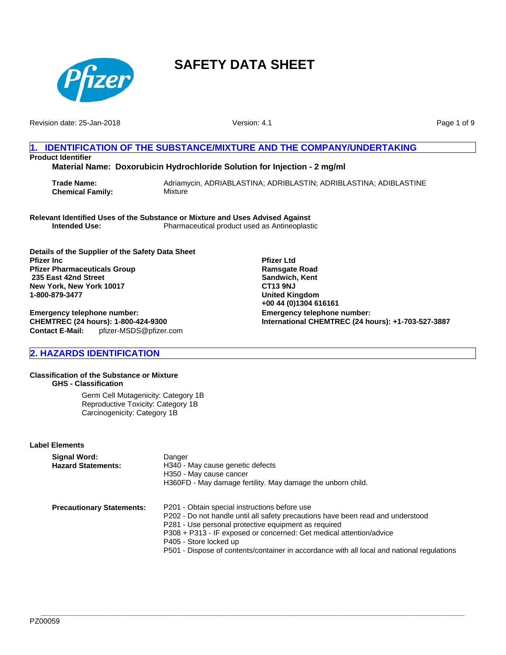

Revision date: 25-Jan-2018

Version: 4.1

Page 1 of 9

# **1. IDENTIFICATION OF THE SUBSTANCE/MIXTURE AND THE COMPANY/UNDERTAKING Product Identifier**

**Material Name: Doxorubicin Hydrochloride Solution for Injection - 2 mg/ml**

**Trade Name:** Adriamycin, ADRIABLASTINA; ADRIBLASTIN; ADRIBLASTINA; ADIBLASTINE **Chemical Family:** Mixture

**Relevant Identified Uses of the Substance or Mixture and Uses Advised Against Intended Use:** Pharmaceutical product used as Antineoplastic

**Details of the Supplier of the Safety Data Sheet Pfizer Inc Pfizer Pharmaceuticals Group 235 East 42nd Street New York, New York 10017 1-800-879-3477**

**Emergency telephone number: CHEMTREC (24 hours): 1-800-424-9300 Contact E-Mail:** pfizer-MSDS@pfizer.com **Pfizer Ltd Ramsgate Road Sandwich, Kent CT13 9NJ United Kingdom +00 44 (0)1304 616161 Emergency telephone number: International CHEMTREC (24 hours): +1-703-527-3887**

# **2. HAZARDS IDENTIFICATION**

#### **Classification of the Substance or Mixture GHS - Classification**

Germ Cell Mutagenicity: Category 1B Reproductive Toxicity: Category 1B Carcinogenicity: Category 1B

#### **Label Elements**

| Signal Word:<br><b>Hazard Statements:</b> | Danger<br>H340 - May cause genetic defects<br>H350 - May cause cancer<br>H360FD - May damage fertility. May damage the unborn child.                                                                                                                                                                                                                                                    |
|-------------------------------------------|-----------------------------------------------------------------------------------------------------------------------------------------------------------------------------------------------------------------------------------------------------------------------------------------------------------------------------------------------------------------------------------------|
| <b>Precautionary Statements:</b>          | P201 - Obtain special instructions before use<br>P202 - Do not handle until all safety precautions have been read and understood<br>P281 - Use personal protective equipment as required<br>P308 + P313 - IF exposed or concerned: Get medical attention/advice<br>P405 - Store locked up<br>P501 - Dispose of contents/container in accordance with all local and national regulations |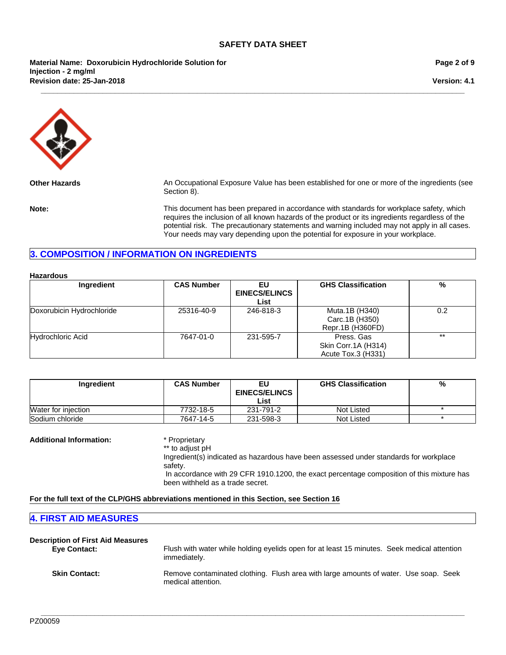**\_\_\_\_\_\_\_\_\_\_\_\_\_\_\_\_\_\_\_\_\_\_\_\_\_\_\_\_\_\_\_\_\_\_\_\_\_\_\_\_\_\_\_\_\_\_\_\_\_\_\_\_\_\_\_\_\_\_\_\_\_\_\_\_\_\_\_\_\_\_\_\_\_\_\_\_\_\_\_\_\_\_\_\_\_\_\_\_\_\_\_\_\_\_\_\_\_\_\_\_\_\_\_**

**Revision date: 25-Jan-2018 Material Name: Doxorubicin Hydrochloride Solution for Injection - 2 mg/ml**

**Page 2 of 9**

**Version: 4.1**



**Other Hazards** An Occupational Exposure Value has been established for one or more of the ingredients (see Section 8).

**Note:** This document has been prepared in accordance with standards for workplace safety, which requires the inclusion of all known hazards of the product or its ingredients regardless of the potential risk. The precautionary statements and warning included may not apply in all cases. Your needs may vary depending upon the potential for exposure in your workplace.

# **3. COMPOSITION / INFORMATION ON INGREDIENTS**

| <b>Hazardous</b>          |                   |                                    |                                                         |       |
|---------------------------|-------------------|------------------------------------|---------------------------------------------------------|-------|
| Ingredient                | <b>CAS Number</b> | EU<br><b>EINECS/ELINCS</b><br>List | <b>GHS Classification</b>                               | %     |
| Doxorubicin Hydrochloride | 25316-40-9        | 246-818-3                          | Muta.1B (H340)<br>Carc.1B (H350)<br>Repr.1B (H360FD)    | 0.2   |
| Hydrochloric Acid         | 7647-01-0         | 231-595-7                          | Press, Gas<br>Skin Corr.1A (H314)<br>Acute Tox.3 (H331) | $***$ |

| Ingredient          | <b>CAS Number</b> | EU<br><b>EINECS/ELINCS</b> | <b>GHS Classification</b> | % |
|---------------------|-------------------|----------------------------|---------------------------|---|
|                     |                   | List                       |                           |   |
| Water for injection | 7732-18-5         | 231-791-2                  | Not Listed                |   |
| Sodium chloride     | 7647-14-5         | 231-598-3                  | Not Listed                |   |

#### **Additional Information:** \* Proprietary

\*\* to adjust pH

Ingredient(s) indicated as hazardous have been assessed under standards for workplace safety. In accordance with 29 CFR 1910.1200, the exact percentage composition of this mixture has been withheld as a trade secret.

#### **For the full text of the CLP/GHS abbreviations mentioned in this Section, see Section 16**

# **4. FIRST AID MEASURES**

| <b>Description of First Aid Measures</b> | Flush with water while holding eyelids open for at least 15 minutes. Seek medical attention                |
|------------------------------------------|------------------------------------------------------------------------------------------------------------|
| <b>Eye Contact:</b>                      | immediately.                                                                                               |
| <b>Skin Contact:</b>                     | Remove contaminated clothing. Flush area with large amounts of water. Use soap. Seek<br>medical attention. |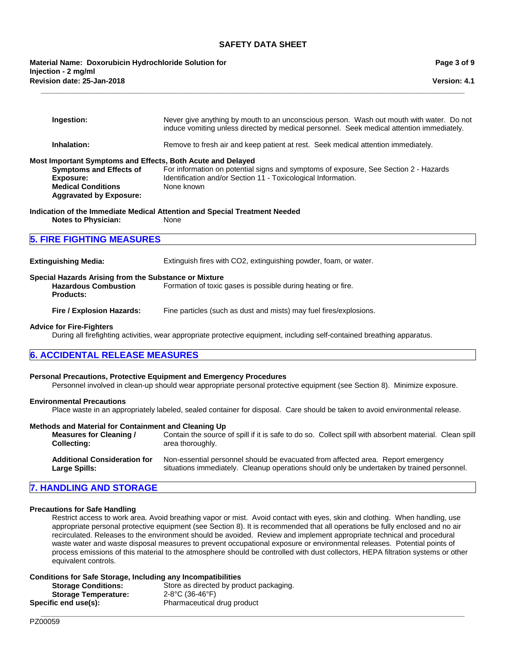**Version: 4.1**

**Page 3 of 9**

**\_\_\_\_\_\_\_\_\_\_\_\_\_\_\_\_\_\_\_\_\_\_\_\_\_\_\_\_\_\_\_\_\_\_\_\_\_\_\_\_\_\_\_\_\_\_\_\_\_\_\_\_\_\_\_\_\_\_\_\_\_\_\_\_\_\_\_\_\_\_\_\_\_\_\_\_\_\_\_\_\_\_\_\_\_\_\_\_\_\_\_\_\_\_\_\_\_\_\_\_\_\_\_**

**Revision date: 25-Jan-2018 Material Name: Doxorubicin Hydrochloride Solution for Injection - 2 mg/ml**

| Ingestion:                                                                                                                                                                       | Never give anything by mouth to an unconscious person. Wash out mouth with water. Do not<br>induce vomiting unless directed by medical personnel. Seek medical attention immediately.                                                                    |
|----------------------------------------------------------------------------------------------------------------------------------------------------------------------------------|----------------------------------------------------------------------------------------------------------------------------------------------------------------------------------------------------------------------------------------------------------|
| Inhalation:                                                                                                                                                                      | Remove to fresh air and keep patient at rest. Seek medical attention immediately.                                                                                                                                                                        |
| Most Important Symptoms and Effects, Both Acute and Delayed<br><b>Symptoms and Effects of</b><br><b>Exposure:</b><br><b>Medical Conditions</b><br><b>Aggravated by Exposure:</b> | For information on potential signs and symptoms of exposure, See Section 2 - Hazards<br>Identification and/or Section 11 - Toxicological Information.<br>None known                                                                                      |
| <b>Notes to Physician:</b>                                                                                                                                                       | Indication of the Immediate Medical Attention and Special Treatment Needed<br>None                                                                                                                                                                       |
| <b>5. FIRE FIGHTING MEASURES</b>                                                                                                                                                 |                                                                                                                                                                                                                                                          |
| <b>Extinguishing Media:</b>                                                                                                                                                      | Extinguish fires with CO2, extinguishing powder, foam, or water.                                                                                                                                                                                         |
| Special Hazards Arising from the Substance or Mixture<br><b>Hazardous Combustion</b><br><b>Products:</b>                                                                         | Formation of toxic gases is possible during heating or fire.                                                                                                                                                                                             |
| Fire / Explosion Hazards:                                                                                                                                                        | Fine particles (such as dust and mists) may fuel fires/explosions.                                                                                                                                                                                       |
| <b>Advice for Fire-Fighters</b>                                                                                                                                                  | During all firefighting activities, wear appropriate protective equipment, including self-contained breathing apparatus.                                                                                                                                 |
| <b>6. ACCIDENTAL RELEASE MEASURES</b>                                                                                                                                            |                                                                                                                                                                                                                                                          |
| Personal Precautions, Protective Equipment and Emergency Procedures<br><b>Environmental Precautions</b>                                                                          | Personnel involved in clean-up should wear appropriate personal protective equipment (see Section 8). Minimize exposure.<br>Place waste in an appropriately labeled, sealed container for disposal. Care should be taken to avoid environmental release. |
| Methods and Material for Containment and Cleaning Up<br><b>Measures for Cleaning /</b><br><b>Collecting:</b>                                                                     | Contain the source of spill if it is safe to do so. Collect spill with absorbent material. Clean spill<br>area thoroughly.                                                                                                                               |
| <b>Additional Consideration for</b><br><b>Large Spills:</b>                                                                                                                      | Non-essential personnel should be evacuated from affected area. Report emergency<br>situations immediately. Cleanup operations should only be undertaken by trained personnel.                                                                           |
| <b>7. HANDLING AND STORAGE</b>                                                                                                                                                   |                                                                                                                                                                                                                                                          |
|                                                                                                                                                                                  |                                                                                                                                                                                                                                                          |

# **Precautions for Safe Handling**

Restrict access to work area. Avoid breathing vapor or mist. Avoid contact with eyes, skin and clothing. When handling, use appropriate personal protective equipment (see Section 8). It is recommended that all operations be fully enclosed and no air recirculated. Releases to the environment should be avoided. Review and implement appropriate technical and procedural waste water and waste disposal measures to prevent occupational exposure or environmental releases. Potential points of process emissions of this material to the atmosphere should be controlled with dust collectors, HEPA filtration systems or other equivalent controls.

**\_\_\_\_\_\_\_\_\_\_\_\_\_\_\_\_\_\_\_\_\_\_\_\_\_\_\_\_\_\_\_\_\_\_\_\_\_\_\_\_\_\_\_\_\_\_\_\_\_\_\_\_\_\_\_\_\_\_\_\_\_\_\_\_\_\_\_\_\_\_\_\_\_\_\_\_\_\_\_\_\_\_\_\_\_\_\_\_\_\_\_\_\_\_\_\_\_\_\_\_\_\_\_**

#### **Conditions for Safe Storage, Including any Incompatibilities**

**Storage Conditions:** Store as directed by product packaging. **Storage Temperature:** 2-8°C (36-46°F) **Specific end use(s):** Pharmaceutical drug product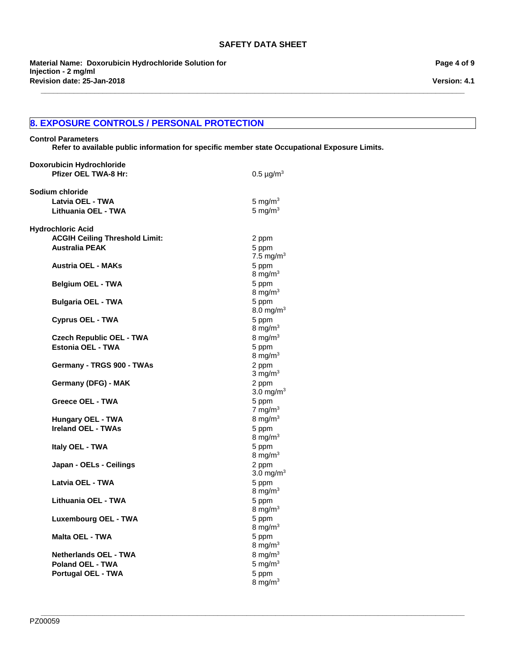**\_\_\_\_\_\_\_\_\_\_\_\_\_\_\_\_\_\_\_\_\_\_\_\_\_\_\_\_\_\_\_\_\_\_\_\_\_\_\_\_\_\_\_\_\_\_\_\_\_\_\_\_\_\_\_\_\_\_\_\_\_\_\_\_\_\_\_\_\_\_\_\_\_\_\_\_\_\_\_\_\_\_\_\_\_\_\_\_\_\_\_\_\_\_\_\_\_\_\_\_\_\_\_**

**Revision date: 25-Jan-2018 Material Name: Doxorubicin Hydrochloride Solution for Injection - 2 mg/ml**

# **8. EXPOSURE CONTROLS / PERSONAL PROTECTION**

#### **Control Parameters**

**Refer to available public information for specific member state Occupational Exposure Limits.**

| Doxorubicin Hydrochloride<br><b>Pfizer OEL TWA-8 Hr:</b>                                   | $0.5 \,\mu$ g/m <sup>3</sup>                            |
|--------------------------------------------------------------------------------------------|---------------------------------------------------------|
| Sodium chloride<br>Latvia OEL - TWA<br>Lithuania OEL - TWA                                 | 5 mg/m $3$<br>5 mg/ $m3$                                |
| <b>Hydrochloric Acid</b><br><b>ACGIH Ceiling Threshold Limit:</b><br><b>Australia PEAK</b> | 2 ppm<br>5 ppm<br>7.5 mg/m <sup>3</sup>                 |
| <b>Austria OEL - MAKs</b>                                                                  | 5 ppm<br>8 mg/m $3$                                     |
| <b>Belgium OEL - TWA</b>                                                                   | 5 ppm<br>8 mg/ $m3$                                     |
| <b>Bulgaria OEL - TWA</b>                                                                  | 5 ppm<br>$8.0 \text{ mg/m}^3$                           |
| <b>Cyprus OEL - TWA</b>                                                                    | 5 ppm<br>8 mg/m $3$                                     |
| <b>Czech Republic OEL - TWA</b><br>Estonia OEL - TWA                                       | 8 mg/m $3$<br>5 ppm<br>8 mg/m $3$                       |
| Germany - TRGS 900 - TWAs                                                                  | 2 ppm<br>$3 \text{ mg/m}^3$                             |
| Germany (DFG) - MAK                                                                        | 2 ppm<br>$3.0 \text{ mg/m}^3$                           |
| Greece OEL - TWA                                                                           | 5 ppm<br>7 mg/m $3$                                     |
| Hungary OEL - TWA<br><b>Ireland OEL - TWAs</b>                                             | 8 mg/m $3$<br>5 ppm<br>$8 \text{ mg/m}^3$               |
| Italy OEL - TWA                                                                            | 5 ppm<br>$8 \text{ mg/m}^3$                             |
| Japan - OELs - Ceilings                                                                    | 2 ppm<br>$3.0 \text{ mg/m}^3$                           |
| Latvia OEL - TWA                                                                           | 5 ppm<br>$8 \text{ mg/m}^3$                             |
| Lithuania OEL - TWA                                                                        | 5 ppm<br>8 mg/m $3$                                     |
| Luxembourg OEL - TWA                                                                       | 5 ppm<br>8 mg/m $3$                                     |
| <b>Malta OEL - TWA</b>                                                                     | 5 ppm<br>$8 \text{ mg/m}^3$                             |
| <b>Netherlands OEL - TWA</b><br><b>Poland OEL - TWA</b><br>Portugal OEL - TWA              | $8 \text{ mg/m}^3$<br>5 mg/m $3$<br>5 ppm<br>8 mg/m $3$ |

**Version: 4.1**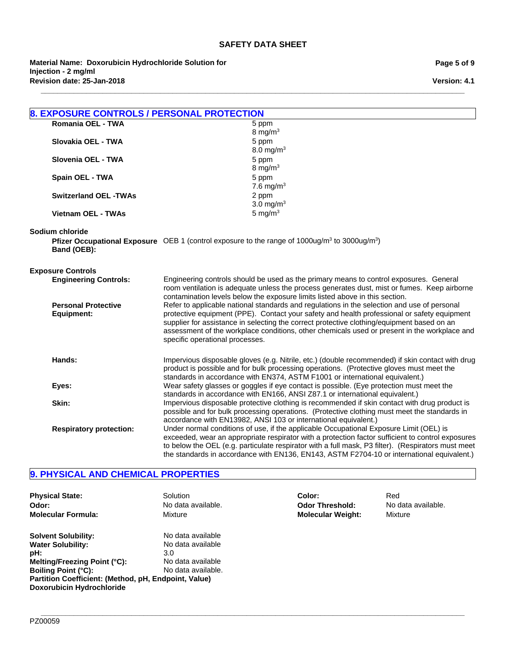**\_\_\_\_\_\_\_\_\_\_\_\_\_\_\_\_\_\_\_\_\_\_\_\_\_\_\_\_\_\_\_\_\_\_\_\_\_\_\_\_\_\_\_\_\_\_\_\_\_\_\_\_\_\_\_\_\_\_\_\_\_\_\_\_\_\_\_\_\_\_\_\_\_\_\_\_\_\_\_\_\_\_\_\_\_\_\_\_\_\_\_\_\_\_\_\_\_\_\_\_\_\_\_**

**Revision date: 25-Jan-2018 Material Name: Doxorubicin Hydrochloride Solution for Injection - 2 mg/ml**

**Page 5 of 9**

**Version: 4.1**

| <b>8. EXPOSURE CONTROLS / PERSONAL PROTECTION</b> |                                                                                                                       |  |
|---------------------------------------------------|-----------------------------------------------------------------------------------------------------------------------|--|
| Romania OEL - TWA                                 | 5 ppm                                                                                                                 |  |
|                                                   | 8 mg/m $3$                                                                                                            |  |
| Slovakia OEL - TWA                                | 5 ppm                                                                                                                 |  |
|                                                   | 8.0 mg/m <sup>3</sup>                                                                                                 |  |
| Slovenia OEL - TWA                                | 5 ppm                                                                                                                 |  |
|                                                   | 8 mg/m $3$                                                                                                            |  |
| Spain OEL - TWA                                   | 5 ppm                                                                                                                 |  |
|                                                   | 7.6 mg/m $3$                                                                                                          |  |
| <b>Switzerland OEL -TWAs</b>                      | 2 ppm                                                                                                                 |  |
|                                                   | 3.0 mg/ $m3$                                                                                                          |  |
| Vietnam OEL - TWAs                                | 5 mg/ $m3$                                                                                                            |  |
|                                                   |                                                                                                                       |  |
| Sodium chloride                                   |                                                                                                                       |  |
|                                                   | Pfizer Occupational Exposure OEB 1 (control exposure to the range of 1000ug/m <sup>3</sup> to 3000ug/m <sup>3</sup> ) |  |
| Band (OEB):                                       |                                                                                                                       |  |
|                                                   |                                                                                                                       |  |
| <b>Exposure Controls</b>                          |                                                                                                                       |  |
| <b>Engineering Controls:</b>                      | Engineering controls should be used as the primary means to control exposures. General                                |  |
|                                                   | room ventilation is adequate unless the process generates dust, mist or fumes. Keep airborne                          |  |
|                                                   | contamination levels below the exposure limits listed above in this section.                                          |  |
| <b>Personal Protective</b>                        | Refer to applicable national standards and regulations in the selection and use of personal                           |  |
| <b>Equipment:</b>                                 | protective equipment (PPE). Contact your safety and health professional or safety equipment                           |  |
|                                                   | supplier for assistance in selecting the correct protective clothing/equipment based on an                            |  |
|                                                   | assessment of the workplace conditions, other chemicals used or present in the workplace and                          |  |
|                                                   | specific operational processes.                                                                                       |  |
|                                                   |                                                                                                                       |  |
| Hands:                                            | Impervious disposable gloves (e.g. Nitrile, etc.) (double recommended) if skin contact with drug                      |  |
|                                                   | product is possible and for bulk processing operations. (Protective gloves must meet the                              |  |
|                                                   | standards in accordance with EN374, ASTM F1001 or international equivalent.)                                          |  |
| Eyes:                                             | Wear safety glasses or goggles if eye contact is possible. (Eye protection must meet the                              |  |
|                                                   | standards in accordance with EN166, ANSI Z87.1 or international equivalent.)                                          |  |
| Skin:                                             | Impervious disposable protective clothing is recommended if skin contact with drug product is                         |  |
|                                                   | possible and for bulk processing operations. (Protective clothing must meet the standards in                          |  |
|                                                   | accordance with EN13982, ANSI 103 or international equivalent.)                                                       |  |
| <b>Respiratory protection:</b>                    | Under normal conditions of use, if the applicable Occupational Exposure Limit (OEL) is                                |  |
|                                                   | exceeded, wear an appropriate respirator with a protection factor sufficient to control exposures                     |  |
|                                                   | to below the OEL (e.g. particulate respirator with a full mask, P3 filter). (Respirators must meet                    |  |
|                                                   | the standards in accordance with EN136, EN143, ASTM F2704-10 or international equivalent.)                            |  |
|                                                   |                                                                                                                       |  |

# **9. PHYSICAL AND CHEMICAL PROPERTIES**

| <b>Physical State:</b>                                                                                                                                                                                                  | Solution                                                                                 | Color:                   | Red                |
|-------------------------------------------------------------------------------------------------------------------------------------------------------------------------------------------------------------------------|------------------------------------------------------------------------------------------|--------------------------|--------------------|
| Odor:                                                                                                                                                                                                                   | No data available.                                                                       | <b>Odor Threshold:</b>   | No data available. |
| <b>Molecular Formula:</b>                                                                                                                                                                                               | Mixture                                                                                  | <b>Molecular Weight:</b> | Mixture            |
| <b>Solvent Solubility:</b><br><b>Water Solubility:</b><br>pH:<br>Melting/Freezing Point (°C):<br><b>Boiling Point (°C):</b><br>Partition Coefficient: (Method, pH, Endpoint, Value)<br><b>Doxorubicin Hydrochloride</b> | No data available<br>No data available<br>3.0<br>No data available<br>No data available. |                          |                    |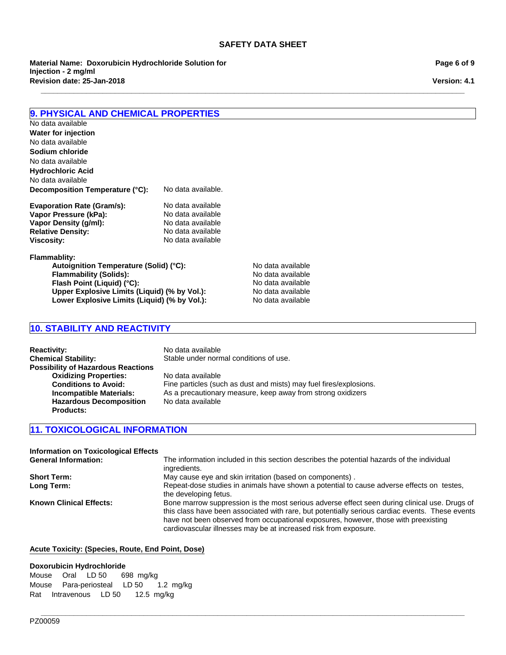**\_\_\_\_\_\_\_\_\_\_\_\_\_\_\_\_\_\_\_\_\_\_\_\_\_\_\_\_\_\_\_\_\_\_\_\_\_\_\_\_\_\_\_\_\_\_\_\_\_\_\_\_\_\_\_\_\_\_\_\_\_\_\_\_\_\_\_\_\_\_\_\_\_\_\_\_\_\_\_\_\_\_\_\_\_\_\_\_\_\_\_\_\_\_\_\_\_\_\_\_\_\_\_**

**Revision date: 25-Jan-2018 Material Name: Doxorubicin Hydrochloride Solution for Injection - 2 mg/ml**

**Page 6 of 9**

**Version: 4.1**

# **9. PHYSICAL AND CHEMICAL PROPERTIES**

**Decomposition Temperature (°C):** No data available. **Hydrochloric Acid** No data available **Water for injection** No data available **Sodium chloride** No data available No data available

| <b>Evaporation Rate (Gram/s):</b> | No data available |
|-----------------------------------|-------------------|
| Vapor Pressure (kPa):             | No data available |
| Vapor Density (q/ml):             | No data available |
| <b>Relative Density:</b>          | No data available |
| <b>Viscosity:</b>                 | No data available |

**Flammablity:**

**Autoignition Temperature (Solid) (°C):** No data available<br> **Flammability (Solids):** No data available **Flammability (Solids):** No data available<br> **Flash Point (Liquid) (°C):** No data available **Flash Point (Liquid) (°C):**<br> **Upper Explosive Limits (Liquid) (% by Vol.):** No data available **Upper Explosive Limits (Liquid) (% by Vol.):** No data available<br>
Lower Explosive Limits (Liquid) (% by Vol.): No data available Lower Explosive Limits (Liquid) (% by Vol.):

# **10. STABILITY AND REACTIVITY**

| <b>Reactivity:</b><br><b>Chemical Stability:</b> | No data available<br>Stable under normal conditions of use.        |
|--------------------------------------------------|--------------------------------------------------------------------|
| <b>Possibility of Hazardous Reactions</b>        |                                                                    |
| <b>Oxidizing Properties:</b>                     | No data available                                                  |
| <b>Conditions to Avoid:</b>                      | Fine particles (such as dust and mists) may fuel fires/explosions. |
| Incompatible Materials:                          | As a precautionary measure, keep away from strong oxidizers        |
| <b>Hazardous Decomposition</b>                   | No data available                                                  |
| <b>Products:</b>                                 |                                                                    |

# **11. TOXICOLOGICAL INFORMATION**

| <b>Information on Toxicological Effects</b> |                                                                                                                                                                                                                                                                                                                                                             |
|---------------------------------------------|-------------------------------------------------------------------------------------------------------------------------------------------------------------------------------------------------------------------------------------------------------------------------------------------------------------------------------------------------------------|
| <b>General Information:</b>                 | The information included in this section describes the potential hazards of the individual<br>ingredients.                                                                                                                                                                                                                                                  |
| <b>Short Term:</b>                          | May cause eye and skin irritation (based on components).                                                                                                                                                                                                                                                                                                    |
| Long Term:                                  | Repeat-dose studies in animals have shown a potential to cause adverse effects on testes,<br>the developing fetus.                                                                                                                                                                                                                                          |
| <b>Known Clinical Effects:</b>              | Bone marrow suppression is the most serious adverse effect seen during clinical use. Drugs of<br>this class have been associated with rare, but potentially serious cardiac events. These events<br>have not been observed from occupational exposures, however, those with preexisting<br>cardiovascular illnesses may be at increased risk from exposure. |

**\_\_\_\_\_\_\_\_\_\_\_\_\_\_\_\_\_\_\_\_\_\_\_\_\_\_\_\_\_\_\_\_\_\_\_\_\_\_\_\_\_\_\_\_\_\_\_\_\_\_\_\_\_\_\_\_\_\_\_\_\_\_\_\_\_\_\_\_\_\_\_\_\_\_\_\_\_\_\_\_\_\_\_\_\_\_\_\_\_\_\_\_\_\_\_\_\_\_\_\_\_\_\_**

#### **Acute Toxicity: (Species, Route, End Point, Dose)**

#### **Doxorubicin Hydrochloride**

MouseOralLD 50698mg/kg MousePara-periostealLD 501.2 mg/kg RatIntravenousLD 5012.5 mg/kg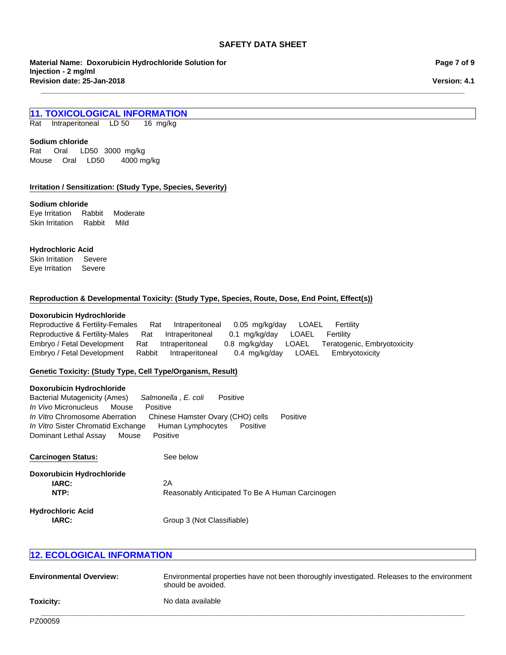**\_\_\_\_\_\_\_\_\_\_\_\_\_\_\_\_\_\_\_\_\_\_\_\_\_\_\_\_\_\_\_\_\_\_\_\_\_\_\_\_\_\_\_\_\_\_\_\_\_\_\_\_\_\_\_\_\_\_\_\_\_\_\_\_\_\_\_\_\_\_\_\_\_\_\_\_\_\_\_\_\_\_\_\_\_\_\_\_\_\_\_\_\_\_\_\_\_\_\_\_\_\_\_**

**Material Name: Doxorubicin Hydrochloride Solution for Injection - 2 mg/ml Revision date: 25-Jan-2018**

**Page 7 of 9**

**Version: 4.1**

# **11. TOXICOLOGICAL INFORMATION**

RatIntraperitonealLD 5016 mg/kg

#### **Sodium chloride**

MouseOralLD50 4000 mg/kg Rat Oral LD50 3000mg/kg

#### **Irritation / Sensitization: (Study Type, Species, Severity)**

#### **Sodium chloride**

Eye IrritationRabbitModerate Skin IrritationRabbitMild

#### **Hydrochloric Acid**

Skin IrritationSevere Eye IrritationSevere

#### **Reproduction & Developmental Toxicity: (Study Type, Species, Route, Dose, End Point, Effect(s))**

#### **Doxorubicin Hydrochloride**

Reproductive & Fertility-FemalesRatIntraperitoneal0.05mg/kg/dayLOAELFertility Reproductive & Fertility-MalesRatIntraperitoneal0.1mg/kg/dayLOAELFertility Embryo / Fetal DevelopmentRatIntraperitoneal0.8mg/kg/dayLOAELTeratogenic, Embryotoxicity Embryo / Fetal DevelopmentRabbitIntraperitoneal0.4mg/kg/dayLOAELEmbryotoxicity

#### **Genetic Toxicity: (Study Type, Cell Type/Organism, Result)**

#### **Doxorubicin Hydrochloride**

*In Vitro* Chromosome AberrationChinese Hamster Ovary (CHO) cellsPositive *In Vitro* Sister Chromatid ExchangeHuman LymphocytesPositive Dominant Lethal AssayMousePositive Bacterial Mutagenicity (Ames)*Salmonella* , *E. coli* Positive *In Vivo* MicronucleusMousePositive

| <b>Carcinogen Status:</b>        | See below                                       |
|----------------------------------|-------------------------------------------------|
| <b>Doxorubicin Hydrochloride</b> |                                                 |
| <b>IARC:</b>                     | 2Α                                              |
| NTP:                             | Reasonably Anticipated To Be A Human Carcinogen |
| <b>Hydrochloric Acid</b>         |                                                 |
| IARC:                            | Group 3 (Not Classifiable)                      |

# **12. ECOLOGICAL INFORMATION**

| <b>Environmental Overview:</b> | Environmental properties have not been thoroughly investigated. Releases to the environment<br>should be avoided. |
|--------------------------------|-------------------------------------------------------------------------------------------------------------------|
| Toxicity:                      | No data available                                                                                                 |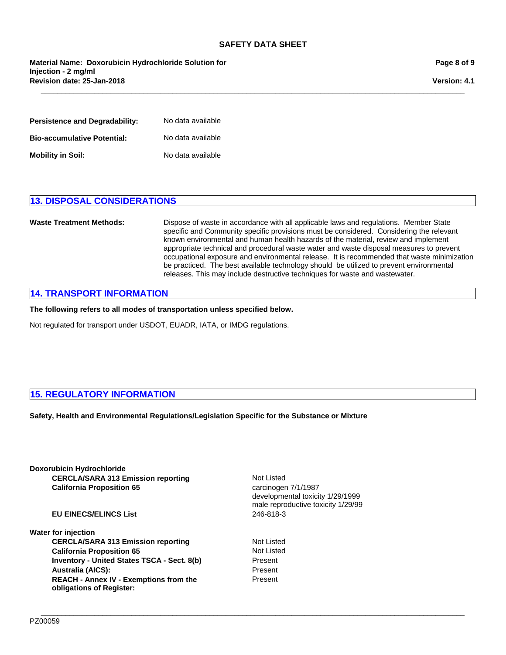**\_\_\_\_\_\_\_\_\_\_\_\_\_\_\_\_\_\_\_\_\_\_\_\_\_\_\_\_\_\_\_\_\_\_\_\_\_\_\_\_\_\_\_\_\_\_\_\_\_\_\_\_\_\_\_\_\_\_\_\_\_\_\_\_\_\_\_\_\_\_\_\_\_\_\_\_\_\_\_\_\_\_\_\_\_\_\_\_\_\_\_\_\_\_\_\_\_\_\_\_\_\_\_**

**Revision date: 25-Jan-2018 Material Name: Doxorubicin Hydrochloride Solution for Injection - 2 mg/ml**

**Page 8 of 9**

**Version: 4.1**

| <b>Persistence and Degradability:</b> | No data available |
|---------------------------------------|-------------------|
| <b>Bio-accumulative Potential:</b>    | No data available |
| <b>Mobility in Soil:</b>              | No data available |

# **13. DISPOSAL CONSIDERATIONS**

**Waste Treatment Methods:** Dispose of waste in accordance with all applicable laws and regulations. Member State specific and Community specific provisions must be considered. Considering the relevant known environmental and human health hazards of the material, review and implement appropriate technical and procedural waste water and waste disposal measures to prevent occupational exposure and environmental release. It is recommended that waste minimization be practiced. The best available technology should be utilized to prevent environmental releases. This may include destructive techniques for waste and wastewater.

# **14. TRANSPORT INFORMATION**

**The following refers to all modes of transportation unless specified below.**

Not regulated for transport under USDOT, EUADR, IATA, or IMDG regulations.

# **15. REGULATORY INFORMATION**

**Safety, Health and Environmental Regulations/Legislation Specific for the Substance or Mixture**

**Doxorubicin Hydrochloride CERCLA/SARA 313 Emission reporting California Proposition 65** carcinogen 7/1/1987

# **EU EINECS/ELINCS List** 246-818-3

#### **Water for injection**

CERCLA/SARA 313 Emission reporting Not Listed **California Proposition 65** Not Listed **Inventory - United States TSCA - Sect. 8(b)** Present **Australia (AICS):** Present **REACH - Annex IV - Exemptions from the obligations of Register:**

Not Listed developmental toxicity 1/29/1999 male reproductive toxicity 1/29/99

Present